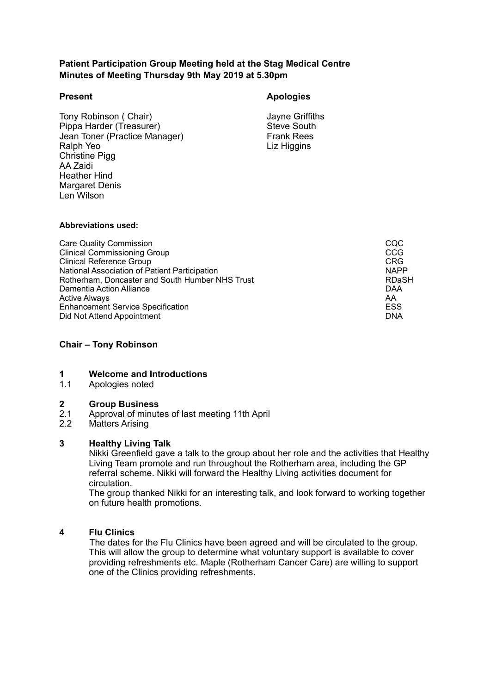# **Patient Participation Group Meeting held at the Stag Medical Centre Minutes of Meeting Thursday 9th May 2019 at 5.30pm**

Ralph Yeo Christine Pigg AA Zaidi Len Wilson Tony Robinson ( Chair)<br>
Pippa Harder (Treasurer)<br>
Steve South Pippa Harder (Treasurer) Steve South<br>
Jean Toner (Practice Manager) Steve South<br>
Frank Rees Jean Toner (Practice Manager) Heather Hind Margaret Denis

# **Present Apologies**

Liz Higgins

#### **Abbreviations used:**

| <b>Care Quality Commission</b>                  | CQC          |
|-------------------------------------------------|--------------|
| <b>Clinical Commissioning Group</b>             | CCG          |
| <b>Clinical Reference Group</b>                 | <b>CRG</b>   |
| National Association of Patient Participation   | <b>NAPP</b>  |
| Rotherham, Doncaster and South Humber NHS Trust | <b>RDaSH</b> |
| Dementia Action Alliance                        | DAA          |
| <b>Active Always</b>                            | AA           |
| <b>Enhancement Service Specification</b>        | <b>ESS</b>   |
| Did Not Attend Appointment                      | <b>DNA</b>   |

# **Chair – Tony Robinson**

#### **1 Welcome and Introductions**

1.1 Apologies noted

#### **2 Group Business**

- $2.1$ Approval of minutes of last meeting 11th April
- 2.2 Matters Arising

### **3 Healthy Living Talk**

 Nikki Greenfield gave a talk to the group about her role and the activities that Healthy Living Team promote and run throughout the Rotherham area, including the GP referral scheme. Nikki will forward the Healthy Living activities document for circulation.

The group thanked Nikki for an interesting talk, and look forward to working together on future health promotions.

# **4 Flu Clinics**

 providing refreshments etc. Maple (Rotherham Cancer Care) are willing to support The dates for the Flu Clinics have been agreed and will be circulated to the group. This will allow the group to determine what voluntary support is available to cover one of the Clinics providing refreshments.